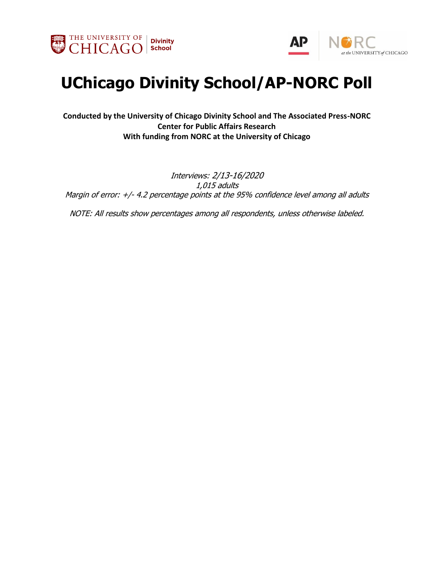



# **UChicago Divinity School/AP-NORC Poll**

**Conducted by the University of Chicago Divinity School and The Associated Press-NORC Center for Public Affairs Research With funding from NORC at the University of Chicago**

Interviews: 2/13-16/2020 1,015 adults Margin of error: +/- 4.2 percentage points at the 95% confidence level among all adults

NOTE: All results show percentages among all respondents, unless otherwise labeled.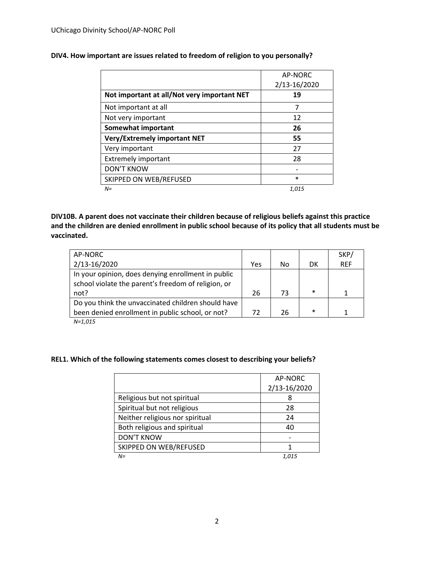|                                             | AP-NORC<br>2/13-16/2020 |
|---------------------------------------------|-------------------------|
| Not important at all/Not very important NET | 19                      |
| Not important at all                        | 7                       |
| Not very important                          | 12                      |
| <b>Somewhat important</b>                   | 26                      |
| <b>Very/Extremely important NET</b>         | 55                      |
| Very important                              | 27                      |
| <b>Extremely important</b>                  | 28                      |
| <b>DON'T KNOW</b>                           |                         |
| SKIPPED ON WEB/REFUSED                      | $\ast$                  |
| $N =$                                       | 1.015                   |

### **DIV4. How important are issues related to freedom of religion to you personally?**

**DIV10B. A parent does not vaccinate their children because of religious beliefs against this practice and the children are denied enrollment in public school because of its policy that all students must be vaccinated.**

| AP-NORC                                             |     |    |        | SKP/       |
|-----------------------------------------------------|-----|----|--------|------------|
| 2/13-16/2020                                        | Yes | No | DK     | <b>REF</b> |
| In your opinion, does denying enrollment in public  |     |    |        |            |
| school violate the parent's freedom of religion, or |     |    |        |            |
| not?                                                | 26  | 73 | $\ast$ |            |
| Do you think the unvaccinated children should have  |     |    |        |            |
| been denied enrollment in public school, or not?    | 72  | 26 | $\ast$ | 1          |
| $N=1,015$                                           |     |    |        |            |

### **REL1. Which of the following statements comes closest to describing your beliefs?**

|                                 | AP-NORC      |
|---------------------------------|--------------|
|                                 | 2/13-16/2020 |
| Religious but not spiritual     | 8            |
| Spiritual but not religious     | 28           |
| Neither religious nor spiritual | 24           |
| Both religious and spiritual    | 40           |
| <b>DON'T KNOW</b>               |              |
| SKIPPED ON WEB/REFUSED          |              |
| $N =$                           | 1.015        |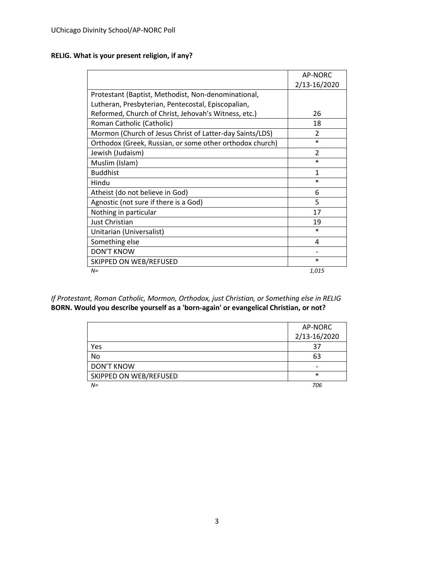### **RELIG. What is your present religion, if any?**

|                                                          | AP-NORC        |
|----------------------------------------------------------|----------------|
|                                                          | 2/13-16/2020   |
| Protestant (Baptist, Methodist, Non-denominational,      |                |
| Lutheran, Presbyterian, Pentecostal, Episcopalian,       |                |
| Reformed, Church of Christ, Jehovah's Witness, etc.)     | 26             |
| Roman Catholic (Catholic)                                | 18             |
| Mormon (Church of Jesus Christ of Latter-day Saints/LDS) | $\mathfrak{p}$ |
| Orthodox (Greek, Russian, or some other orthodox church) | $\ast$         |
| Jewish (Judaism)                                         | $\mathfrak{p}$ |
| Muslim (Islam)                                           | $\ast$         |
| <b>Buddhist</b>                                          | 1              |
| Hindu                                                    | $\ast$         |
| Atheist (do not believe in God)                          | 6              |
| Agnostic (not sure if there is a God)                    | 5              |
| Nothing in particular                                    | 17             |
| Just Christian                                           | 19             |
| Unitarian (Universalist)                                 | $\ast$         |
| Something else                                           | 4              |
| <b>DON'T KNOW</b>                                        |                |
| SKIPPED ON WEB/REFUSED                                   | $\ast$         |
| $N =$                                                    | 1,015          |

*If Protestant, Roman Catholic, Mormon, Orthodox, just Christian, or Something else in RELIG* **BORN. Would you describe yourself as a 'born-again' or evangelical Christian, or not?**

|                        | AP-NORC      |
|------------------------|--------------|
|                        | 2/13-16/2020 |
| Yes                    | 37           |
| No                     | 63           |
| <b>DON'T KNOW</b>      |              |
| SKIPPED ON WEB/REFUSED | $\ast$       |
| $N =$                  | 706          |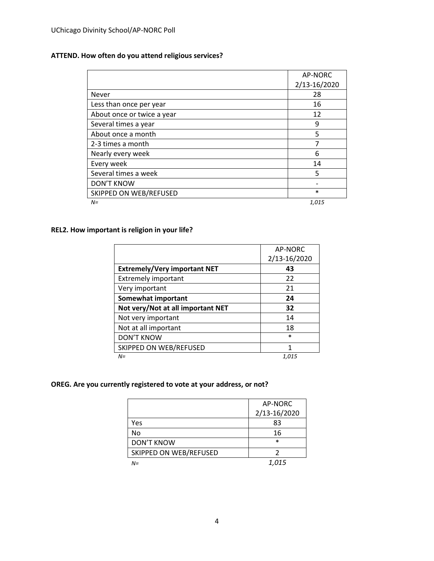### **ATTEND. How often do you attend religious services?**

|                            | AP-NORC      |
|----------------------------|--------------|
|                            | 2/13-16/2020 |
| <b>Never</b>               | 28           |
| Less than once per year    | 16           |
| About once or twice a year | 12           |
| Several times a year       | 9            |
| About once a month         | 5            |
| 2-3 times a month          | 7            |
| Nearly every week          | 6            |
| Every week                 | 14           |
| Several times a week       | 5            |
| <b>DON'T KNOW</b>          |              |
| SKIPPED ON WEB/REFUSED     | $\ast$       |
| $N =$                      | 1,015        |

### **REL2. How important is religion in your life?**

|                                     | AP-NORC      |
|-------------------------------------|--------------|
|                                     | 2/13-16/2020 |
| <b>Extremely/Very important NET</b> | 43           |
| <b>Extremely important</b>          | 22           |
| Very important                      | 21           |
| Somewhat important                  | 24           |
| Not very/Not at all important NET   | 32           |
| Not very important                  | 14           |
| Not at all important                | 18           |
| <b>DON'T KNOW</b>                   | $\ast$       |
| SKIPPED ON WEB/REFUSED              | 1            |
| N=                                  | 1,015        |

### **OREG. Are you currently registered to vote at your address, or not?**

|                        | AP-NORC      |
|------------------------|--------------|
|                        | 2/13-16/2020 |
| Yes                    | 83           |
| No                     | 16           |
| <b>DON'T KNOW</b>      | $\ast$       |
| SKIPPED ON WEB/REFUSED |              |
| N=                     | 1,015        |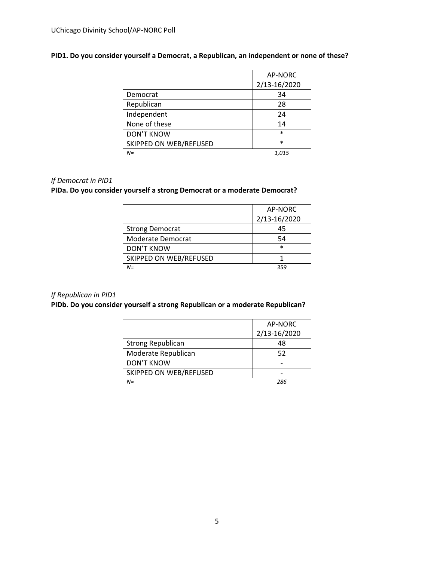### **PID1. Do you consider yourself a Democrat, a Republican, an independent or none of these?**

|                        | AP-NORC      |
|------------------------|--------------|
|                        | 2/13-16/2020 |
| Democrat               | 34           |
| Republican             | 28           |
| Independent            | 24           |
| None of these          | 14           |
| <b>DON'T KNOW</b>      | $\ast$       |
| SKIPPED ON WEB/REFUSED | $\star$      |
| $N =$                  | 1,015        |

### *If Democrat in PID1*

### **PIDa. Do you consider yourself a strong Democrat or a moderate Democrat?**

|                        | AP-NORC      |
|------------------------|--------------|
|                        | 2/13-16/2020 |
| <b>Strong Democrat</b> | 45           |
| Moderate Democrat      | 54           |
| <b>DON'T KNOW</b>      | $\ast$       |
| SKIPPED ON WEB/REFUSED |              |
| NΞ                     | 254          |

#### *If Republican in PID1*

### **PIDb. Do you consider yourself a strong Republican or a moderate Republican?**

|                          | AP-NORC      |
|--------------------------|--------------|
|                          | 2/13-16/2020 |
| <b>Strong Republican</b> | 48           |
| Moderate Republican      | 52           |
| <b>DON'T KNOW</b>        |              |
| SKIPPED ON WEB/REFUSED   |              |
| $N =$                    | 286          |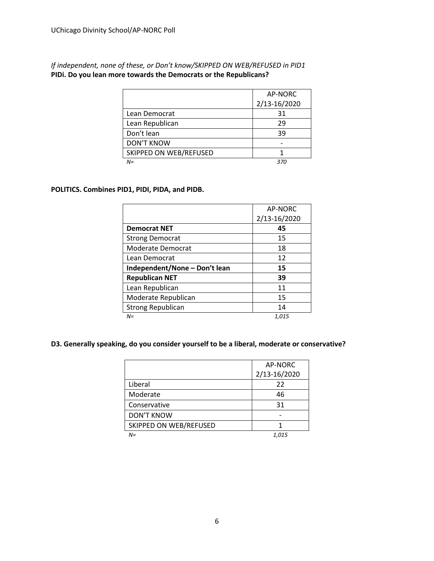*If independent, none of these, or Don't know/SKIPPED ON WEB/REFUSED in PID1* **PIDi. Do you lean more towards the Democrats or the Republicans?**

|                        | AP-NORC      |
|------------------------|--------------|
|                        | 2/13-16/2020 |
| Lean Democrat          | 31           |
| Lean Republican        | 29           |
| Don't lean             | 39           |
| <b>DON'T KNOW</b>      |              |
| SKIPPED ON WEB/REFUSED |              |
| $N =$                  | 370          |

### **POLITICS. Combines PID1, PIDI, PIDA, and PIDB.**

|                               | AP-NORC      |
|-------------------------------|--------------|
|                               | 2/13-16/2020 |
| <b>Democrat NET</b>           | 45           |
| <b>Strong Democrat</b>        | 15           |
| Moderate Democrat             | 18           |
| Lean Democrat                 | 12           |
| Independent/None - Don't lean | 15           |
| <b>Republican NET</b>         | 39           |
| Lean Republican               | 11           |
| Moderate Republican           | 15           |
| <b>Strong Republican</b>      | 14           |
| N=                            | 1.015        |

### **D3. Generally speaking, do you consider yourself to be a liberal, moderate or conservative?**

|                        | AP-NORC      |
|------------------------|--------------|
|                        | 2/13-16/2020 |
| Liberal                | 22           |
| Moderate               | 46           |
| Conservative           | 31           |
| <b>DON'T KNOW</b>      |              |
| SKIPPED ON WEB/REFUSED |              |
| $N =$                  | 1.015        |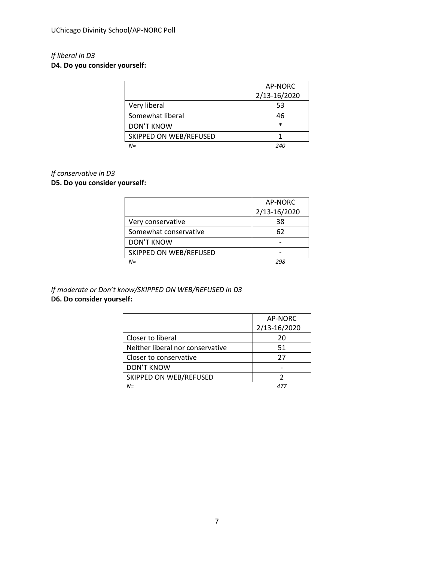## *If liberal in D3*

**D4. Do you consider yourself:**

|                        | AP-NORC      |
|------------------------|--------------|
|                        | 2/13-16/2020 |
| Very liberal           | 53           |
| Somewhat liberal       | 46           |
| <b>DON'T KNOW</b>      | $\ast$       |
| SKIPPED ON WEB/REFUSED |              |
| $N =$                  | 240          |

### *If conservative in D3*

### **D5. Do you consider yourself:**

|                        | AP-NORC      |
|------------------------|--------------|
|                        | 2/13-16/2020 |
| Very conservative      | 38           |
| Somewhat conservative  | 62           |
| <b>DON'T KNOW</b>      |              |
| SKIPPED ON WEB/REFUSED |              |
| $N =$                  | 298          |

### *If moderate or Don't know/SKIPPED ON WEB/REFUSED in D3* **D6. Do consider yourself:**

|                                  | AP-NORC      |
|----------------------------------|--------------|
|                                  | 2/13-16/2020 |
| Closer to liberal                | 20           |
| Neither liberal nor conservative | 51           |
| Closer to conservative           | 27           |
| <b>DON'T KNOW</b>                |              |
| SKIPPED ON WEB/REFUSED           |              |
| NΞ                               |              |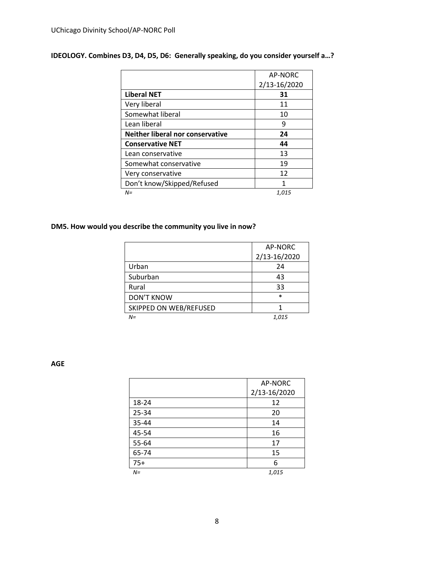|                                  | AP-NORC      |
|----------------------------------|--------------|
|                                  | 2/13-16/2020 |
| <b>Liberal NET</b>               | 31           |
| Very liberal                     | 11           |
| Somewhat liberal                 | 10           |
| Lean liberal                     | 9            |
| Neither liberal nor conservative | 24           |
| <b>Conservative NET</b>          | 44           |
| Lean conservative                | 13           |
| Somewhat conservative            | 19           |
| Very conservative                | 12           |
| Don't know/Skipped/Refused       | 1            |
| N=                               | 1,015        |

### **IDEOLOGY. Combines D3, D4, D5, D6: Generally speaking, do you consider yourself a…?**

### **DM5. How would you describe the community you live in now?**

|                        | AP-NORC      |
|------------------------|--------------|
|                        | 2/13-16/2020 |
| Urban                  | 24           |
| Suburban               | 43           |
| Rural                  | 33           |
| <b>DON'T KNOW</b>      | $\ast$       |
| SKIPPED ON WEB/REFUSED |              |
| $N =$                  | 1,015        |

**AGE**

|       | AP-NORC      |
|-------|--------------|
|       | 2/13-16/2020 |
| 18-24 | 12           |
| 25-34 | 20           |
| 35-44 | 14           |
| 45-54 | 16           |
| 55-64 | 17           |
| 65-74 | 15           |
| $75+$ | 6            |
| $N =$ | 1,015        |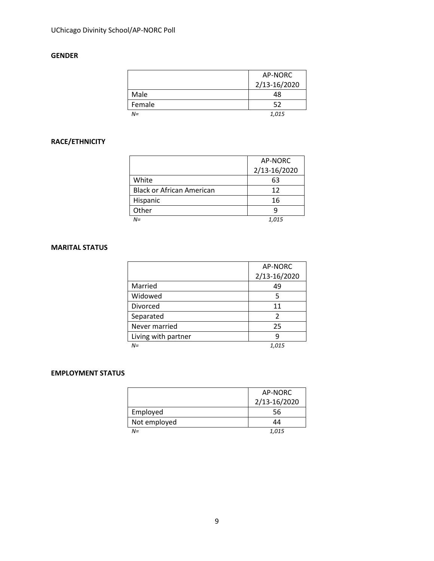### **GENDER**

|        | AP-NORC      |
|--------|--------------|
|        | 2/13-16/2020 |
| Male   | 48           |
| Female | 52           |
| N=     | 1,015        |

### **RACE/ETHNICITY**

|                                  | AP-NORC      |
|----------------------------------|--------------|
|                                  | 2/13-16/2020 |
| White                            | 63           |
| <b>Black or African American</b> | 12           |
| Hispanic                         | 16           |
| Other                            | q            |
| $N =$                            | 1,015        |

### **MARITAL STATUS**

|                     | AP-NORC      |
|---------------------|--------------|
|                     | 2/13-16/2020 |
| Married             | 49           |
| Widowed             | 5            |
| Divorced            | 11           |
| Separated           | 2            |
| Never married       | 25           |
| Living with partner | q            |
| $N =$               | 1,015        |

### **EMPLOYMENT STATUS**

|              | AP-NORC<br>2/13-16/2020 |
|--------------|-------------------------|
| Employed     | 56                      |
| Not employed | 44                      |
| $N =$        | 1,015                   |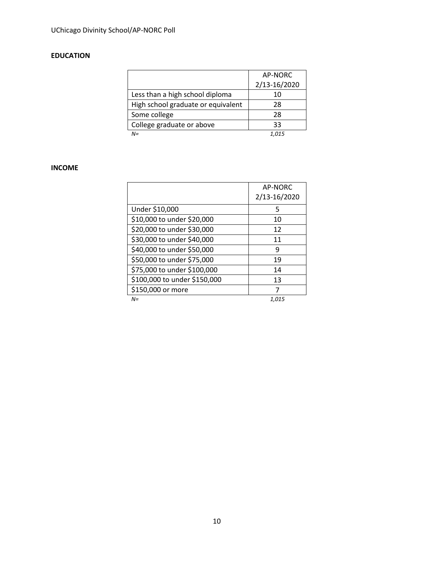### **EDUCATION**

|                                    | AP-NORC      |
|------------------------------------|--------------|
|                                    | 2/13-16/2020 |
| Less than a high school diploma    | 10           |
| High school graduate or equivalent | 28           |
| Some college                       | 28           |
| College graduate or above          | 33           |
| $N =$                              | 1,015        |

### **INCOME**

|                              | AP-NORC<br>2/13-16/2020 |
|------------------------------|-------------------------|
| Under \$10,000               | 5                       |
| \$10,000 to under \$20,000   | 10                      |
| \$20,000 to under \$30,000   | 12                      |
| \$30,000 to under \$40,000   | 11                      |
| \$40,000 to under \$50,000   | 9                       |
| \$50,000 to under \$75,000   | 19                      |
| \$75,000 to under \$100,000  | 14                      |
| \$100,000 to under \$150,000 | 13                      |
| \$150,000 or more            | 7                       |
| $N =$                        | 1,015                   |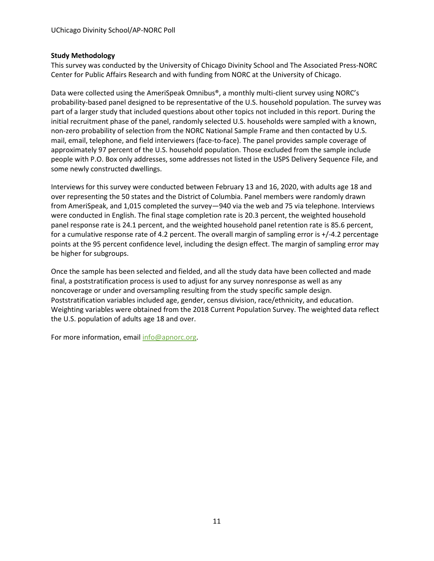### **Study Methodology**

This survey was conducted by the University of Chicago Divinity School and The Associated Press-NORC Center for Public Affairs Research and with funding from NORC at the University of Chicago.

Data were collected using the AmeriSpeak Omnibus®, a monthly multi-client survey using NORC's probability-based panel designed to be representative of the U.S. household population. The survey was part of a larger study that included questions about other topics not included in this report. During the initial recruitment phase of the panel, randomly selected U.S. households were sampled with a known, non-zero probability of selection from the NORC National Sample Frame and then contacted by U.S. mail, email, telephone, and field interviewers (face-to-face). The panel provides sample coverage of approximately 97 percent of the U.S. household population. Those excluded from the sample include people with P.O. Box only addresses, some addresses not listed in the USPS Delivery Sequence File, and some newly constructed dwellings.

Interviews for this survey were conducted between February 13 and 16, 2020, with adults age 18 and over representing the 50 states and the District of Columbia. Panel members were randomly drawn from AmeriSpeak, and 1,015 completed the survey—940 via the web and 75 via telephone. Interviews were conducted in English. The final stage completion rate is 20.3 percent, the weighted household panel response rate is 24.1 percent, and the weighted household panel retention rate is 85.6 percent, for a cumulative response rate of 4.2 percent. The overall margin of sampling error is +/-4.2 percentage points at the 95 percent confidence level, including the design effect. The margin of sampling error may be higher for subgroups.

Once the sample has been selected and fielded, and all the study data have been collected and made final, a poststratification process is used to adjust for any survey nonresponse as well as any noncoverage or under and oversampling resulting from the study specific sample design. Poststratification variables included age, gender, census division, race/ethnicity, and education. Weighting variables were obtained from the 2018 Current Population Survey. The weighted data reflect the U.S. population of adults age 18 and over.

For more information, email [info@apnorc.org.](mailto:info@apnorc.org)